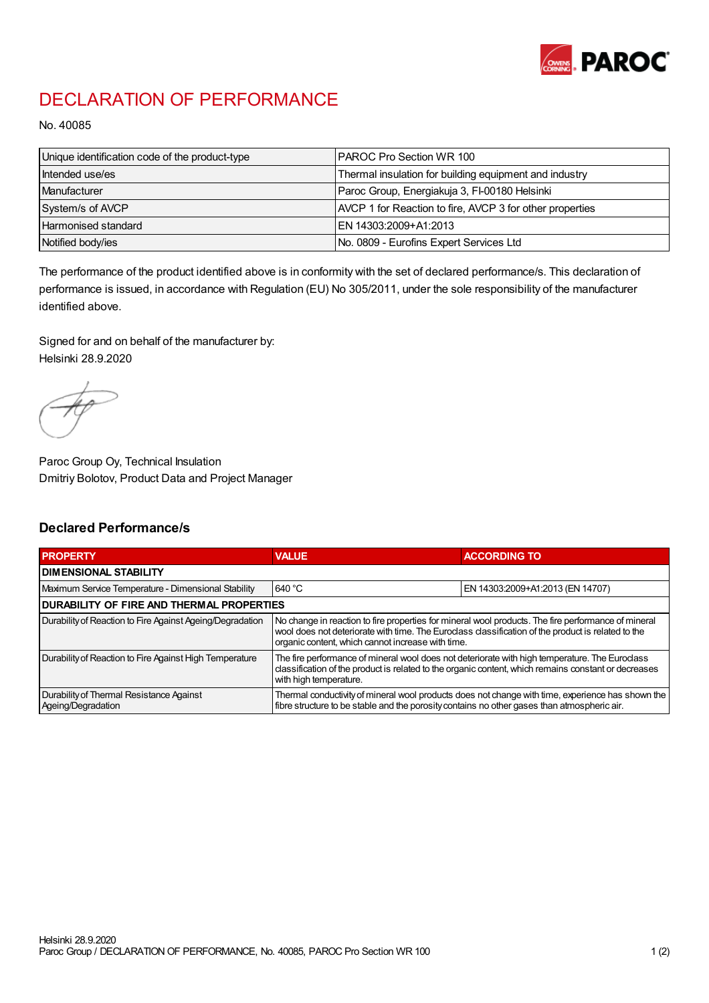

## DECLARATION OF PERFORMANCE

No. 40085

| Unique identification code of the product-type | IPAROC Pro Section WR 100                                |
|------------------------------------------------|----------------------------------------------------------|
| Intended use/es                                | Thermal insulation for building equipment and industry   |
| Manufacturer                                   | Paroc Group, Energiakuja 3, FI-00180 Helsinki            |
| System/s of AVCP                               | AVCP 1 for Reaction to fire, AVCP 3 for other properties |
| Harmonised standard                            | IEN 14303:2009+A1:2013                                   |
| Notified body/ies                              | No. 0809 - Eurofins Expert Services Ltd                  |

The performance of the product identified above is in conformity with the set of declared performance/s. This declaration of performance is issued, in accordance with Regulation (EU) No 305/2011, under the sole responsibility of the manufacturer identified above.

Signed for and on behalf of the manufacturer by: Helsinki 28.9.2020

Paroc Group Oy, Technical Insulation Dmitriy Bolotov, Product Data and Project Manager

## Declared Performance/s

| <b>PROPERTY</b>                                                | <b>VALUE</b>                                                                                                                                                                                                                                                   | <b>ACCORDING TO</b>              |  |
|----------------------------------------------------------------|----------------------------------------------------------------------------------------------------------------------------------------------------------------------------------------------------------------------------------------------------------------|----------------------------------|--|
| <b>DIMENSIONAL STABILITY</b>                                   |                                                                                                                                                                                                                                                                |                                  |  |
| Maximum Service Temperature - Dimensional Stability            | 640 °C                                                                                                                                                                                                                                                         | EN 14303:2009+A1:2013 (EN 14707) |  |
| <b>DURABILITY OF FIRE AND THERMAL PROPERTIES</b>               |                                                                                                                                                                                                                                                                |                                  |  |
| Durability of Reaction to Fire Against Ageing/Degradation      | No change in reaction to fire properties for mineral wool products. The fire performance of mineral<br>wool does not deteriorate with time. The Euroclass classification of the product is related to the<br>organic content, which cannot increase with time. |                                  |  |
| Durability of Reaction to Fire Against High Temperature        | The fire performance of mineral wool does not deteriorate with high temperature. The Euroclass<br>classification of the product is related to the organic content, which remains constant or decreases<br>with high temperature.                               |                                  |  |
| Durability of Thermal Resistance Against<br>Ageing/Degradation | Thermal conductivity of mineral wool products does not change with time, experience has shown the<br>fibre structure to be stable and the porosity contains no other gases than atmospheric air.                                                               |                                  |  |